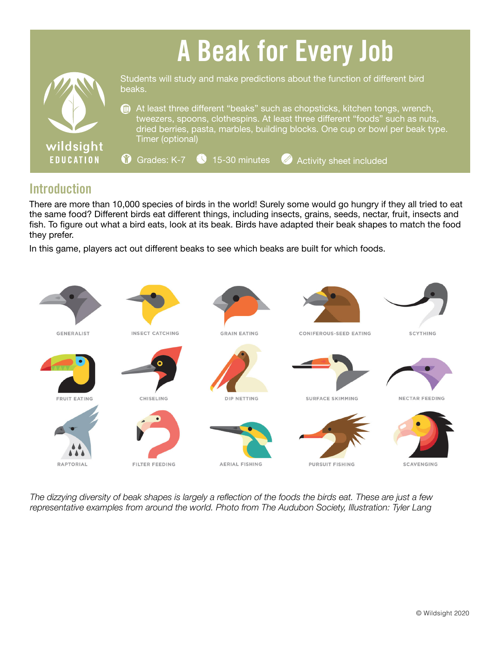# A Beak for Every Job



Students will study and make predictions about the function of different bird beaks.

At least three different "beaks" such as chopsticks, kitchen tongs, wrench, tweezers, spoons, clothespins. At least three different "foods" such as nuts, dried berries, pasta, marbles, building blocks. One cup or bowl per beak type. Timer (optional)

 $\bullet$  Grades: K-7  $\bullet$  15-30 minutes Activity sheet included

## **Introduction**

There are more than 10,000 species of birds in the world! Surely some would go hungry if they all tried to eat the same food? Different birds eat different things, including insects, grains, seeds, nectar, fruit, insects and fish. To figure out what a bird eats, look at its beak. Birds have adapted their beak shapes to match the food they prefer.

In this game, players act out different beaks to see which beaks are built for which foods.



*The dizzying diversity of beak shapes is largely a reflection of the foods the birds eat. These are just a few representative examples from around the world. Photo from The Audubon Society, Illustration: Tyler Lang*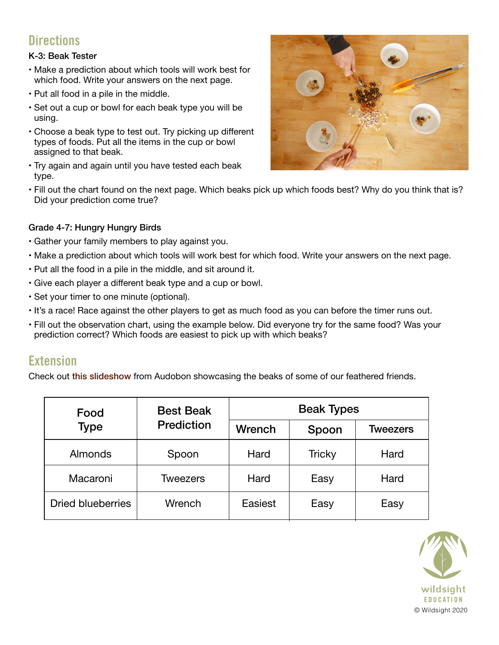# **Directions**

#### K-3: Beak Tester

- Make a prediction about which tools will work best for which food. Write your answers on the next page.
- Put all food in a pile in the middle.
- Set out a cup or bowl for each beak type you will be using.
- Choose a beak type to test out. Try picking up different types of foods. Put all the items in the cup or bowl assigned to that beak.
- Try again and again until you have tested each beak type.



• Fill out the chart found on the next page. Which beaks pick up which foods best? Why do you think that is? Did your prediction come true?

#### Grade 4-7: Hungry Hungry Birds

- Gather your family members to play against you.
- Make a prediction about which tools will work best for which food. Write your answers on the next page.
- Put all the food in a pile in the middle, and sit around it.
- Give each player a different beak type and a cup or bowl.
- Set your timer to one minute (optional).
- It's a race! Race against the other players to get as much food as you can before the timer runs out.
- Fill out the observation chart, using the example below. Did everyone try for the same food? Was your prediction correct? Which foods are easiest to pick up with which beaks?

### **Extension**

Check out this [slideshow](https://www.audubon.org/content/pecking-order#1) from Audobon showcasing the beaks of some of our feathered friends.

| Food                     | <b>Best Beak</b><br><b>Prediction</b> | <b>Beak Types</b> |               |                 |  |
|--------------------------|---------------------------------------|-------------------|---------------|-----------------|--|
| <b>Type</b>              |                                       | Wrench            | Spoon         | <b>Tweezers</b> |  |
| Almonds                  | Spoon                                 | Hard              | <b>Tricky</b> | Hard            |  |
| Macaroni                 | Tweezers                              | Hard              | Easy          | Hard            |  |
| <b>Dried blueberries</b> | Wrench                                | Easiest           | Easy          | Easy            |  |